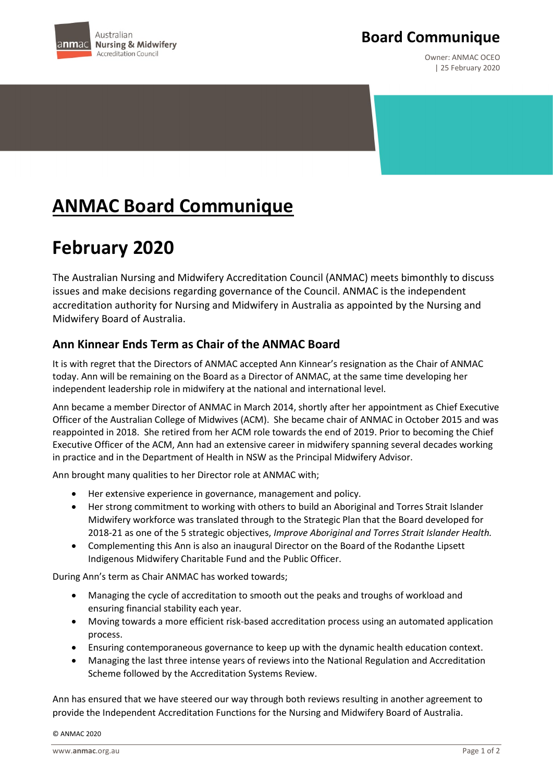

### **Board Communique**

Owner: ANMAC OCEO | 25 February 2020

# **ANMAC Board Communique**

## **February 2020**

The Australian Nursing and Midwifery Accreditation Council (ANMAC) meets bimonthly to discuss issues and make decisions regarding governance of the Council. ANMAC is the independent accreditation authority for Nursing and Midwifery in Australia as appointed by the Nursing and Midwifery Board of Australia.

### **Ann Kinnear Ends Term as Chair of the ANMAC Board**

It is with regret that the Directors of ANMAC accepted Ann Kinnear's resignation as the Chair of ANMAC today. Ann will be remaining on the Board as a Director of ANMAC, at the same time developing her independent leadership role in midwifery at the national and international level.

Ann became a member Director of ANMAC in March 2014, shortly after her appointment as Chief Executive Officer of the Australian College of Midwives (ACM). She became chair of ANMAC in October 2015 and was reappointed in 2018. She retired from her ACM role towards the end of 2019. Prior to becoming the Chief Executive Officer of the ACM, Ann had an extensive career in midwifery spanning several decades working in practice and in the Department of Health in NSW as the Principal Midwifery Advisor.

Ann brought many qualities to her Director role at ANMAC with;

- Her extensive experience in governance, management and policy.
- Her strong commitment to working with others to build an Aboriginal and Torres Strait Islander Midwifery workforce was translated through to the Strategic Plan that the Board developed for 2018-21 as one of the 5 strategic objectives, *Improve Aboriginal and Torres Strait Islander Health.*
- Complementing this Ann is also an inaugural Director on the Board of the Rodanthe Lipsett Indigenous Midwifery Charitable Fund and the Public Officer.

During Ann's term as Chair ANMAC has worked towards;

- Managing the cycle of accreditation to smooth out the peaks and troughs of workload and ensuring financial stability each year.
- Moving towards a more efficient risk-based accreditation process using an automated application process.
- Ensuring contemporaneous governance to keep up with the dynamic health education context.
- Managing the last three intense years of reviews into the National Regulation and Accreditation Scheme followed by the Accreditation Systems Review.

Ann has ensured that we have steered our way through both reviews resulting in another agreement to provide the Independent Accreditation Functions for the Nursing and Midwifery Board of Australia.